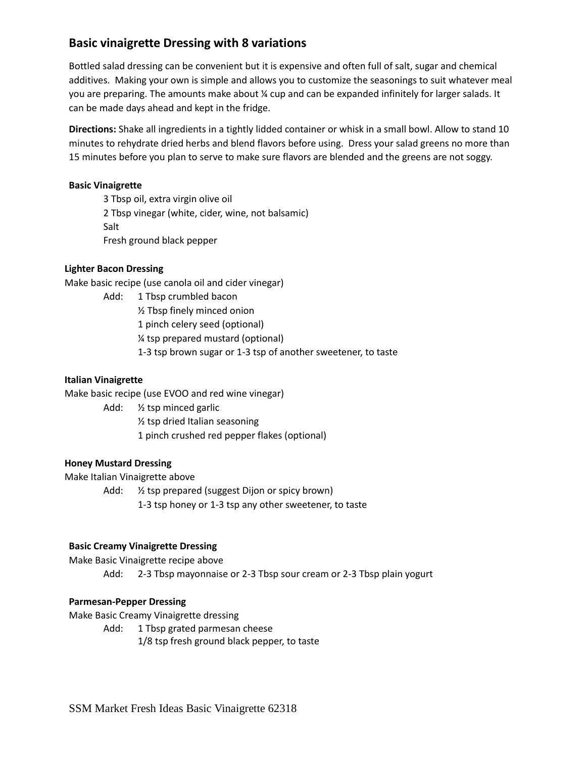# **Basic vinaigrette Dressing with 8 variations**

Bottled salad dressing can be convenient but it is expensive and often full of salt, sugar and chemical additives. Making your own is simple and allows you to customize the seasonings to suit whatever meal you are preparing. The amounts make about ¼ cup and can be expanded infinitely for larger salads. It can be made days ahead and kept in the fridge.

**Directions:** Shake all ingredients in a tightly lidded container or whisk in a small bowl. Allow to stand 10 minutes to rehydrate dried herbs and blend flavors before using. Dress your salad greens no more than 15 minutes before you plan to serve to make sure flavors are blended and the greens are not soggy.

#### **Basic Vinaigrette**

3 Tbsp oil, extra virgin olive oil 2 Tbsp vinegar (white, cider, wine, not balsamic) Salt Fresh ground black pepper

### **Lighter Bacon Dressing**

Make basic recipe (use canola oil and cider vinegar)

Add: 1 Tbsp crumbled bacon ½ Tbsp finely minced onion 1 pinch celery seed (optional) ¼ tsp prepared mustard (optional) 1-3 tsp brown sugar or 1-3 tsp of another sweetener, to taste

#### **Italian Vinaigrette**

Make basic recipe (use EVOO and red wine vinegar)

Add: ½ tsp minced garlic ½ tsp dried Italian seasoning 1 pinch crushed red pepper flakes (optional)

#### **Honey Mustard Dressing**

Make Italian Vinaigrette above

Add: ½ tsp prepared (suggest Dijon or spicy brown)

1-3 tsp honey or 1-3 tsp any other sweetener, to taste

#### **Basic Creamy Vinaigrette Dressing**

Make Basic Vinaigrette recipe above

Add: 2-3 Tbsp mayonnaise or 2-3 Tbsp sour cream or 2-3 Tbsp plain yogurt

#### **Parmesan-Pepper Dressing**

Make Basic Creamy Vinaigrette dressing

Add: 1 Tbsp grated parmesan cheese

1/8 tsp fresh ground black pepper, to taste